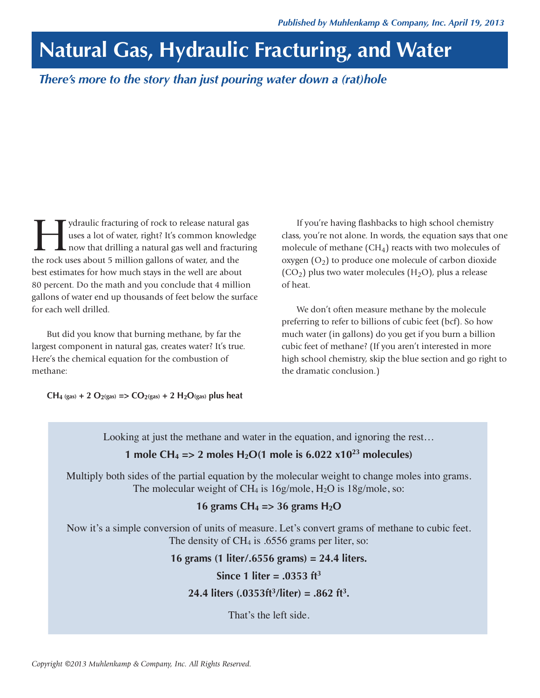# **Natural Gas, Hydraulic Fracturing, and Water**

# *There's more to the story than just pouring water down a (rat)hole*

**Human** ydraulic fracturing of rock to release natural gas<br>uses a lot of water, right? It's common knowledge<br>now that drilling a natural gas well and fracturing<br>the rock uses about 5 million gallons of water, and the uses a lot of water, right? It's common knowledge now that drilling a natural gas well and fracturing the rock uses about 5 million gallons of water, and the best estimates for how much stays in the well are about 80 percent. Do the math and you conclude that 4 million gallons of water end up thousands of feet below the surface for each well drilled.

But did you know that burning methane, by far the largest component in natural gas, creates water? It's true. Here's the chemical equation for the combustion of methane:

 $CH_4$  (gas) + 2  $O_2$ (gas) =>  $CO_2$ (gas) + 2  $H_2O$ (gas) plus heat

If you're having flashbacks to high school chemistry class, you're not alone. In words, the equation says that one molecule of methane  $(CH<sub>4</sub>)$  reacts with two molecules of oxygen  $(O_2)$  to produce one molecule of carbon dioxide  $(CO<sub>2</sub>)$  plus two water molecules  $(H<sub>2</sub>O)$ , plus a release of heat.

We don't often measure methane by the molecule preferring to refer to billions of cubic feet (bcf). So how much water (in gallons) do you get if you burn a billion cubic feet of methane? (If you aren't interested in more high school chemistry, skip the blue section and go right to the dramatic conclusion.)

Looking at just the methane and water in the equation, and ignoring the rest…

## **1 mole CH<sub>4</sub> =**  $> 2$  **moles H<sub>2</sub>O(1 mole is 6.022 x10<sup>23</sup> molecules)**

Multiply both sides of the partial equation by the molecular weight to change moles into grams. The molecular weight of CH<sub>4</sub> is 16g/mole, H<sub>2</sub>O is 18g/mole, so:

#### 16 grams  $CH_4$  => 36 grams  $H_2O$

Now it's a simple conversion of units of measure. Let's convert grams of methane to cubic feet. The density of CH4 is .6556 grams per liter, so:

**16 grams (1 liter/.6556 grams) = 24.4 liters.**

**Since 1 liter = .0353 ft3**

## **24.4 liters (.0353ft3/liter) = .862 ft3.**

That's the left side.